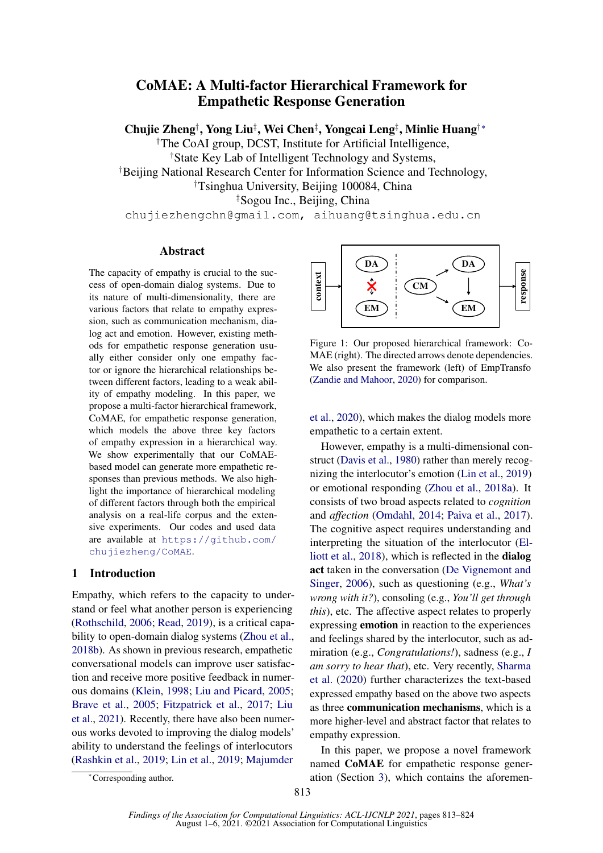# CoMAE: A Multi-factor Hierarchical Framework for Empathetic Response Generation

Chujie Zheng<sup>†</sup>, Yong Liu<sup>‡</sup>, Wei Chen<sup>‡</sup>, Yongcai Leng<sup>‡</sup>, Minlie Huang<sup>†</sup>\*

†The CoAI group, DCST, Institute for Artificial Intelligence, †State Key Lab of Intelligent Technology and Systems, †Beijing National Research Center for Information Science and Technology, †Tsinghua University, Beijing 100084, China ‡Sogou Inc., Beijing, China chujiezhengchn@gmail.com, aihuang@tsinghua.edu.cn

# Abstract

The capacity of empathy is crucial to the success of open-domain dialog systems. Due to its nature of multi-dimensionality, there are various factors that relate to empathy expression, such as communication mechanism, dialog act and emotion. However, existing methods for empathetic response generation usually either consider only one empathy factor or ignore the hierarchical relationships between different factors, leading to a weak ability of empathy modeling. In this paper, we propose a multi-factor hierarchical framework, CoMAE, for empathetic response generation, which models the above three key factors of empathy expression in a hierarchical way. We show experimentally that our CoMAEbased model can generate more empathetic responses than previous methods. We also highlight the importance of hierarchical modeling of different factors through both the empirical analysis on a real-life corpus and the extensive experiments. Our codes and used data are available at [https://github.com/](https://github.com/chujiezheng/CoMAE) [chujiezheng/CoMAE](https://github.com/chujiezheng/CoMAE).

# <span id="page-0-1"></span>1 Introduction

Empathy, which refers to the capacity to understand or feel what another person is experiencing [\(Rothschild,](#page-10-0) [2006;](#page-10-0) [Read,](#page-10-1) [2019\)](#page-10-1), is a critical capability to open-domain dialog systems [\(Zhou et al.,](#page-10-2) [2018b\)](#page-10-2). As shown in previous research, empathetic conversational models can improve user satisfaction and receive more positive feedback in numerous domains [\(Klein,](#page-9-0) [1998;](#page-9-0) [Liu and Picard,](#page-9-1) [2005;](#page-9-1) [Brave et al.,](#page-8-0) [2005;](#page-8-0) [Fitzpatrick et al.,](#page-9-2) [2017;](#page-9-2) [Liu](#page-9-3) [et al.,](#page-9-3) [2021\)](#page-9-3). Recently, there have also been numerous works devoted to improving the dialog models' ability to understand the feelings of interlocutors [\(Rashkin et al.,](#page-10-3) [2019;](#page-10-3) [Lin et al.,](#page-9-4) [2019;](#page-9-4) [Majumder](#page-9-5)

<span id="page-0-0"></span>

Figure 1: Our proposed hierarchical framework: Co-MAE (right). The directed arrows denote dependencies. We also present the framework (left) of EmpTransfo [\(Zandie and Mahoor,](#page-10-4) [2020\)](#page-10-4) for comparison.

[et al.,](#page-9-5) [2020\)](#page-9-5), which makes the dialog models more empathetic to a certain extent.

However, empathy is a multi-dimensional construct [\(Davis et al.,](#page-9-6) [1980\)](#page-9-6) rather than merely recognizing the interlocutor's emotion [\(Lin et al.,](#page-9-4) [2019\)](#page-9-4) or emotional responding [\(Zhou et al.,](#page-10-5) [2018a\)](#page-10-5). It consists of two broad aspects related to *cognition* and *affection* [\(Omdahl,](#page-9-7) [2014;](#page-9-7) [Paiva et al.,](#page-9-8) [2017\)](#page-9-8). The cognitive aspect requires understanding and interpreting the situation of the interlocutor [\(El](#page-9-9)[liott et al.,](#page-9-9) [2018\)](#page-9-9), which is reflected in the dialog act taken in the conversation [\(De Vignemont and](#page-9-10) [Singer,](#page-9-10) [2006\)](#page-9-10), such as questioning (e.g., *What's wrong with it?*), consoling (e.g., *You'll get through this*), etc. The affective aspect relates to properly expressing emotion in reaction to the experiences and feelings shared by the interlocutor, such as admiration (e.g., *Congratulations!*), sadness (e.g., *I am sorry to hear that*), etc. Very recently, [Sharma](#page-10-6) [et al.](#page-10-6) [\(2020\)](#page-10-6) further characterizes the text-based expressed empathy based on the above two aspects as three communication mechanisms, which is a more higher-level and abstract factor that relates to empathy expression.

In this paper, we propose a novel framework named CoMAE for empathetic response generation (Section [3\)](#page-2-0), which contains the aforemen-

<sup>∗</sup>[Corresponding author.](#page-9-5)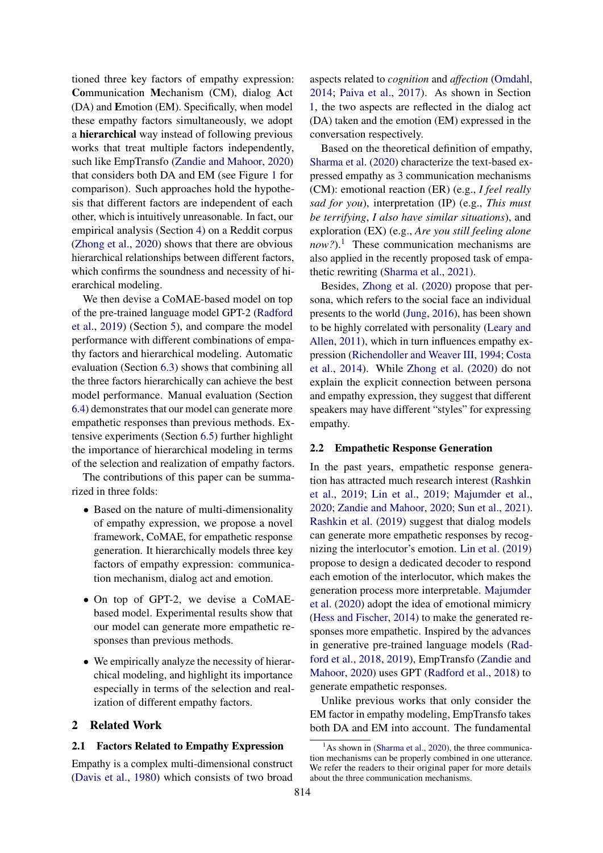tioned three key factors of empathy expression: Communication Mechanism (CM), dialog Act (DA) and Emotion (EM). Specifically, when model these empathy factors simultaneously, we adopt a hierarchical way instead of following previous works that treat multiple factors independently, such like EmpTransfo [\(Zandie and Mahoor,](#page-10-4) [2020\)](#page-10-4) that considers both DA and EM (see Figure [1](#page-0-0) for comparison). Such approaches hold the hypothesis that different factors are independent of each other, which is intuitively unreasonable. In fact, our empirical analysis (Section [4\)](#page-2-1) on a Reddit corpus [\(Zhong et al.,](#page-10-7) [2020\)](#page-10-7) shows that there are obvious hierarchical relationships between different factors, which confirms the soundness and necessity of hierarchical modeling.

We then devise a CoMAE-based model on top of the pre-trained language model GPT-2 [\(Radford](#page-10-8) [et al.,](#page-10-8) [2019\)](#page-10-8) (Section [5\)](#page-4-0), and compare the model performance with different combinations of empathy factors and hierarchical modeling. Automatic evaluation (Section [6.3\)](#page-5-0) shows that combining all the three factors hierarchically can achieve the best model performance. Manual evaluation (Section [6.4\)](#page-6-0) demonstrates that our model can generate more empathetic responses than previous methods. Extensive experiments (Section [6.5\)](#page-7-0) further highlight the importance of hierarchical modeling in terms of the selection and realization of empathy factors.

The contributions of this paper can be summarized in three folds:

- Based on the nature of multi-dimensionality of empathy expression, we propose a novel framework, CoMAE, for empathetic response generation. It hierarchically models three key factors of empathy expression: communication mechanism, dialog act and emotion.
- On top of GPT-2, we devise a CoMAEbased model. Experimental results show that our model can generate more empathetic responses than previous methods.
- We empirically analyze the necessity of hierarchical modeling, and highlight its importance especially in terms of the selection and realization of different empathy factors.

# 2 Related Work

#### 2.1 Factors Related to Empathy Expression

Empathy is a complex multi-dimensional construct [\(Davis et al.,](#page-9-6) [1980\)](#page-9-6) which consists of two broad aspects related to *cognition* and *affection* [\(Omdahl,](#page-9-7) [2014;](#page-9-7) [Paiva et al.,](#page-9-8) [2017\)](#page-9-8). As shown in Section [1,](#page-0-1) the two aspects are reflected in the dialog act (DA) taken and the emotion (EM) expressed in the conversation respectively.

Based on the theoretical definition of empathy, [Sharma et al.](#page-10-6) [\(2020\)](#page-10-6) characterize the text-based expressed empathy as 3 communication mechanisms (CM): emotional reaction (ER) (e.g., *I feel really sad for you*), interpretation (IP) (e.g., *This must be terrifying*, *I also have similar situations*), and exploration (EX) (e.g., *Are you still feeling alone now?*).<sup>[1](#page-1-0)</sup> These communication mechanisms are also applied in the recently proposed task of empathetic rewriting [\(Sharma et al.,](#page-10-9) [2021\)](#page-10-9).

Besides, [Zhong et al.](#page-10-7) [\(2020\)](#page-10-7) propose that persona, which refers to the social face an individual presents to the world [\(Jung,](#page-9-11) [2016\)](#page-9-11), has been shown to be highly correlated with personality [\(Leary and](#page-9-12) [Allen,](#page-9-12) [2011\)](#page-9-12), which in turn influences empathy expression [\(Richendoller and Weaver III,](#page-10-10) [1994;](#page-10-10) [Costa](#page-9-13) [et al.,](#page-9-13) [2014\)](#page-9-13). While [Zhong et al.](#page-10-7) [\(2020\)](#page-10-7) do not explain the explicit connection between persona and empathy expression, they suggest that different speakers may have different "styles" for expressing empathy.

#### 2.2 Empathetic Response Generation

In the past years, empathetic response generation has attracted much research interest [\(Rashkin](#page-10-3) [et al.,](#page-10-3) [2019;](#page-10-3) [Lin et al.,](#page-9-4) [2019;](#page-9-4) [Majumder et al.,](#page-9-5) [2020;](#page-9-5) [Zandie and Mahoor,](#page-10-4) [2020;](#page-10-4) [Sun et al.,](#page-10-11) [2021\)](#page-10-11). [Rashkin et al.](#page-10-3) [\(2019\)](#page-10-3) suggest that dialog models can generate more empathetic responses by recognizing the interlocutor's emotion. [Lin et al.](#page-9-4) [\(2019\)](#page-9-4) propose to design a dedicated decoder to respond each emotion of the interlocutor, which makes the generation process more interpretable. [Majumder](#page-9-5) [et al.](#page-9-5) [\(2020\)](#page-9-5) adopt the idea of emotional mimicry [\(Hess and Fischer,](#page-9-14) [2014\)](#page-9-14) to make the generated responses more empathetic. Inspired by the advances in generative pre-trained language models [\(Rad](#page-10-12)[ford et al.,](#page-10-12) [2018,](#page-10-12) [2019\)](#page-10-8), EmpTransfo [\(Zandie and](#page-10-4) [Mahoor,](#page-10-4) [2020\)](#page-10-4) uses GPT [\(Radford et al.,](#page-10-12) [2018\)](#page-10-12) to generate empathetic responses.

Unlike previous works that only consider the EM factor in empathy modeling, EmpTransfo takes both DA and EM into account. The fundamental

<span id="page-1-0"></span> $<sup>1</sup>$ As shown in [\(Sharma et al.,](#page-10-6) [2020\)](#page-10-6), the three communica-</sup> tion mechanisms can be properly combined in one utterance. We refer the readers to their original paper for more details about the three communication mechanisms.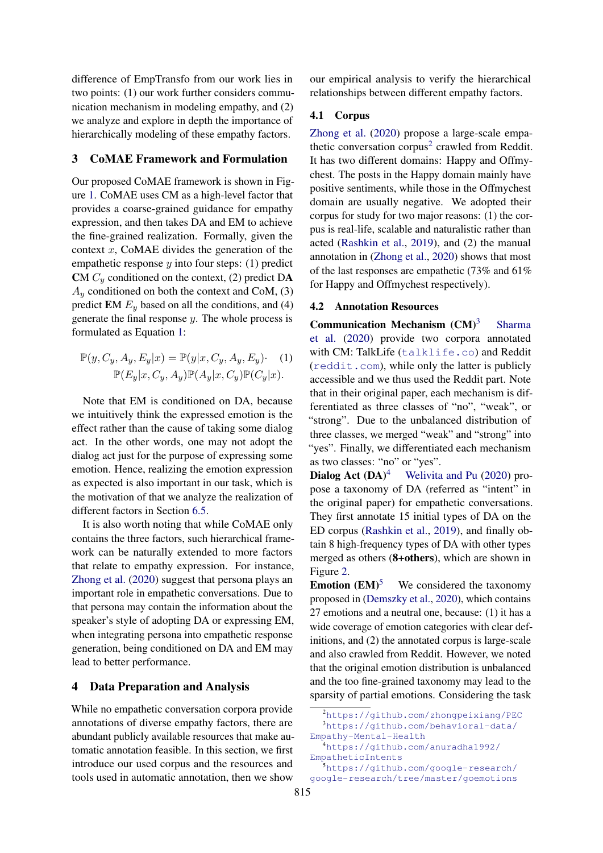difference of EmpTransfo from our work lies in two points: (1) our work further considers communication mechanism in modeling empathy, and (2) we analyze and explore in depth the importance of hierarchically modeling of these empathy factors.

## <span id="page-2-0"></span>3 CoMAE Framework and Formulation

Our proposed CoMAE framework is shown in Figure [1.](#page-0-0) CoMAE uses CM as a high-level factor that provides a coarse-grained guidance for empathy expression, and then takes DA and EM to achieve the fine-grained realization. Formally, given the context x, CoMAE divides the generation of the empathetic response  $y$  into four steps: (1) predict CM  $C_y$  conditioned on the context, (2) predict DA  $A_y$  conditioned on both the context and CoM, (3) predict EM  $E_y$  based on all the conditions, and (4) generate the final response  $y$ . The whole process is formulated as Equation [1:](#page-2-2)

$$
\mathbb{P}(y, C_y, A_y, E_y|x) = \mathbb{P}(y|x, C_y, A_y, E_y) \cdot (1)
$$

$$
\mathbb{P}(E_y|x, C_y, A_y) \mathbb{P}(A_y|x, C_y) \mathbb{P}(C_y|x).
$$

Note that EM is conditioned on DA, because we intuitively think the expressed emotion is the effect rather than the cause of taking some dialog act. In the other words, one may not adopt the dialog act just for the purpose of expressing some emotion. Hence, realizing the emotion expression as expected is also important in our task, which is the motivation of that we analyze the realization of different factors in Section [6.5.](#page-7-0)

It is also worth noting that while CoMAE only contains the three factors, such hierarchical framework can be naturally extended to more factors that relate to empathy expression. For instance, [Zhong et al.](#page-10-7) [\(2020\)](#page-10-7) suggest that persona plays an important role in empathetic conversations. Due to that persona may contain the information about the speaker's style of adopting DA or expressing EM, when integrating persona into empathetic response generation, being conditioned on DA and EM may lead to better performance.

# <span id="page-2-1"></span>4 Data Preparation and Analysis

While no empathetic conversation corpora provide annotations of diverse empathy factors, there are abundant publicly available resources that make automatic annotation feasible. In this section, we first introduce our used corpus and the resources and tools used in automatic annotation, then we show

our empirical analysis to verify the hierarchical relationships between different empathy factors.

## 4.1 Corpus

[Zhong et al.](#page-10-7) [\(2020\)](#page-10-7) propose a large-scale empa-thetic conversation corpus<sup>[2](#page-2-3)</sup> crawled from Reddit. It has two different domains: Happy and Offmychest. The posts in the Happy domain mainly have positive sentiments, while those in the Offmychest domain are usually negative. We adopted their corpus for study for two major reasons: (1) the corpus is real-life, scalable and naturalistic rather than acted [\(Rashkin et al.,](#page-10-3) [2019\)](#page-10-3), and (2) the manual annotation in [\(Zhong et al.,](#page-10-7) [2020\)](#page-10-7) shows that most of the last responses are empathetic (73% and 61% for Happy and Offmychest respectively).

# 4.2 Annotation Resources

<span id="page-2-2"></span>**Communication Mechanism**  $(CM)^3$  $(CM)^3$  [Sharma](#page-10-6) [et al.](#page-10-6) [\(2020\)](#page-10-6) provide two corpora annotated with CM: TalkLife (<talklife.co>) and Reddit (<reddit.com>), while only the latter is publicly accessible and we thus used the Reddit part. Note that in their original paper, each mechanism is differentiated as three classes of "no", "weak", or "strong". Due to the unbalanced distribution of three classes, we merged "weak" and "strong" into "yes". Finally, we differentiated each mechanism as two classes: "no" or "yes".

**Dialog Act**  $(DA)^4$  $(DA)^4$  [Welivita and Pu](#page-10-13) [\(2020\)](#page-10-13) propose a taxonomy of DA (referred as "intent" in the original paper) for empathetic conversations. They first annotate 15 initial types of DA on the ED corpus [\(Rashkin et al.,](#page-10-3) [2019\)](#page-10-3), and finally obtain 8 high-frequency types of DA with other types merged as others (8+others), which are shown in Figure [2.](#page-3-0)

**Emotion**  $(EM)^5$  $(EM)^5$  We considered the taxonomy proposed in [\(Demszky et al.,](#page-9-15) [2020\)](#page-9-15), which contains 27 emotions and a neutral one, because: (1) it has a wide coverage of emotion categories with clear definitions, and (2) the annotated corpus is large-scale and also crawled from Reddit. However, we noted that the original emotion distribution is unbalanced and the too fine-grained taxonomy may lead to the sparsity of partial emotions. Considering the task

<span id="page-2-4"></span><span id="page-2-3"></span><sup>2</sup><https://github.com/zhongpeixiang/PEC> <sup>3</sup>[https://github.com/behavioral-data/](https://github.com/behavioral-data/Empathy-Mental-Health) [Empathy-Mental-Health](https://github.com/behavioral-data/Empathy-Mental-Health)

<span id="page-2-5"></span><sup>4</sup>[https://github.com/anuradha1992/](https://github.com/anuradha1992/EmpatheticIntents)

<span id="page-2-6"></span>[EmpatheticIntents](https://github.com/anuradha1992/EmpatheticIntents) <sup>5</sup>[https://github.com/google-research/](https://github.com/google-research/google-research/tree/master/goemotions)

[google-research/tree/master/goemotions](https://github.com/google-research/google-research/tree/master/goemotions)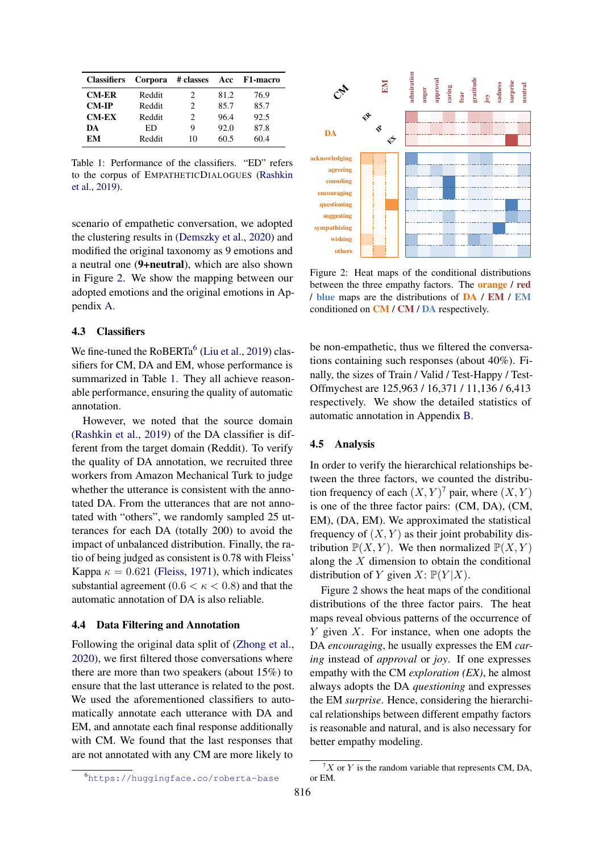<span id="page-3-2"></span>

| <b>Classifiers</b> |        |                             |      | Corpora # classes Acc F1-macro |
|--------------------|--------|-----------------------------|------|--------------------------------|
| <b>CM-ER</b>       | Reddit | 2                           | 81.2 | 76.9                           |
| <b>CM-IP</b>       | Reddit | $\mathcal{D}_{\mathcal{L}}$ | 85.7 | 85.7                           |
| <b>CM-EX</b>       | Reddit | $\mathcal{D}_{\mathcal{L}}$ | 96.4 | 92.5                           |
| DA                 | ED     | 9                           | 92.0 | 87.8                           |
| EМ                 | Reddit | 10                          | 60.5 | 60.4                           |

Table 1: Performance of the classifiers. "ED" refers to the corpus of EMPATHETICDIALOGUES [\(Rashkin](#page-10-3) [et al.,](#page-10-3) [2019\)](#page-10-3).

scenario of empathetic conversation, we adopted the clustering results in [\(Demszky et al.,](#page-9-15) [2020\)](#page-9-15) and modified the original taxonomy as 9 emotions and a neutral one (9+neutral), which are also shown in Figure [2.](#page-3-0) We show the mapping between our adopted emotions and the original emotions in Appendix [A.](#page-11-0)

## <span id="page-3-5"></span>4.3 Classifiers

We fine-tuned the  $RoBERTa<sup>6</sup>$  $RoBERTa<sup>6</sup>$  $RoBERTa<sup>6</sup>$  [\(Liu et al.,](#page-9-16) [2019\)](#page-9-16) classifiers for CM, DA and EM, whose performance is summarized in Table [1.](#page-3-2) They all achieve reasonable performance, ensuring the quality of automatic annotation.

However, we noted that the source domain [\(Rashkin et al.,](#page-10-3) [2019\)](#page-10-3) of the DA classifier is different from the target domain (Reddit). To verify the quality of DA annotation, we recruited three workers from Amazon Mechanical Turk to judge whether the utterance is consistent with the annotated DA. From the utterances that are not annotated with "others", we randomly sampled 25 utterances for each DA (totally 200) to avoid the impact of unbalanced distribution. Finally, the ratio of being judged as consistent is 0.78 with Fleiss' Kappa  $\kappa = 0.621$  [\(Fleiss,](#page-9-17) [1971\)](#page-9-17), which indicates substantial agreement ( $0.6 < \kappa < 0.8$ ) and that the automatic annotation of DA is also reliable.

## 4.4 Data Filtering and Annotation

Following the original data split of [\(Zhong et al.,](#page-10-7) [2020\)](#page-10-7), we first filtered those conversations where there are more than two speakers (about 15%) to ensure that the last utterance is related to the post. We used the aforementioned classifiers to automatically annotate each utterance with DA and EM, and annotate each final response additionally with CM. We found that the last responses that are not annotated with any CM are more likely to

<span id="page-3-0"></span>

Figure 2: Heat maps of the conditional distributions between the three empathy factors. The orange / red / blue maps are the distributions of DA / EM / EM conditioned on CM / CM / DA respectively.

be non-empathetic, thus we filtered the conversations containing such responses (about 40%). Finally, the sizes of Train / Valid / Test-Happy / Test-Offmychest are 125,963 / 16,371 / 11,136 / 6,413 respectively. We show the detailed statistics of automatic annotation in Appendix [B.](#page-11-1)

#### <span id="page-3-4"></span>4.5 Analysis

In order to verify the hierarchical relationships between the three factors, we counted the distribution frequency of each  $(X, Y)^7$  $(X, Y)^7$  pair, where  $(X, Y)$ is one of the three factor pairs: (CM, DA), (CM, EM), (DA, EM). We approximated the statistical frequency of  $(X, Y)$  as their joint probability distribution  $\mathbb{P}(X, Y)$ . We then normalized  $\mathbb{P}(X, Y)$ along the  $X$  dimension to obtain the conditional distribution of Y given  $X: \mathbb{P}(Y|X)$ .

Figure [2](#page-3-0) shows the heat maps of the conditional distributions of the three factor pairs. The heat maps reveal obvious patterns of the occurrence of  $Y$  given  $X$ . For instance, when one adopts the DA *encouraging*, he usually expresses the EM *caring* instead of *approval* or *joy*. If one expresses empathy with the CM *exploration (EX)*, he almost always adopts the DA *questioning* and expresses the EM *surprise*. Hence, considering the hierarchical relationships between different empathy factors is reasonable and natural, and is also necessary for better empathy modeling.

<span id="page-3-1"></span><sup>6</sup><https://huggingface.co/roberta-base>

<span id="page-3-3"></span> $7X$  or Y is the random variable that represents CM, DA, or EM.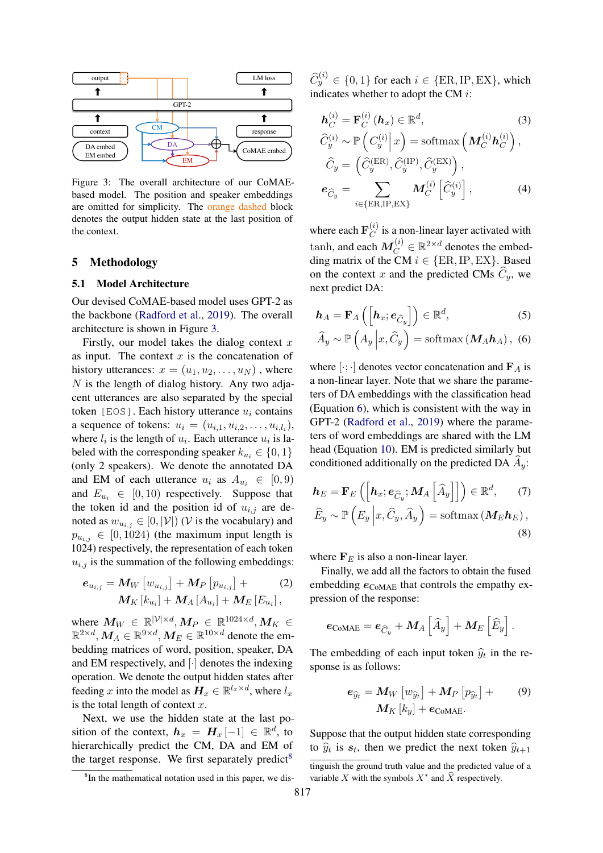<span id="page-4-1"></span>

Figure 3: The overall architecture of our CoMAEbased model. The position and speaker embeddings are omitted for simplicity. The orange dashed block denotes the output hidden state at the last position of the context.

## <span id="page-4-0"></span>5 Methodology

## <span id="page-4-8"></span>5.1 Model Architecture

Our devised CoMAE-based model uses GPT-2 as the backbone [\(Radford et al.,](#page-10-8) [2019\)](#page-10-8). The overall architecture is shown in Figure [3.](#page-4-1)

Firstly, our model takes the dialog context  $x$ as input. The context  $x$  is the concatenation of history utterances:  $x = (u_1, u_2, \dots, u_N)$ , where  $N$  is the length of dialog history. Any two adjacent utterances are also separated by the special token [EOS]. Each history utterance  $u_i$  contains a sequence of tokens:  $u_i = (u_{i,1}, u_{i,2}, \dots, u_{i,l_i}),$ where  $l_i$  is the length of  $u_i$ . Each utterance  $u_i$  is labeled with the corresponding speaker  $k_{u_i} \in \{0, 1\}$ (only 2 speakers). We denote the annotated DA and EM of each utterance  $u_i$  as  $A_{u_i} \in [0, 9)$ and  $E_{u_i} \in [0, 10)$  respectively. Suppose that the token id and the position id of  $u_{i,j}$  are denoted as  $w_{u_{i,j}} \in [0, |\mathcal{V}|)$  (V is the vocabulary) and  $p_{u_{i,j}} \in [0, 1024)$  (the maximum input length is 1024) respectively, the representation of each token  $u_{i,j}$  is the summation of the following embeddings:

$$
e_{u_{i,j}} = M_W \left[ w_{u_{i,j}} \right] + M_P \left[ p_{u_{i,j}} \right] +
$$
  

$$
M_K \left[ k_{u_i} \right] + M_A \left[ A_{u_i} \right] + M_E \left[ E_{u_i} \right],
$$
 (2)

where  $M_W \in \mathbb{R}^{|\mathcal{V}|\times d}, M_P \in \mathbb{R}^{1024 \times d}, M_K \in$  $\mathbb{R}^{2 \times d}, \bm{M}_A \in \mathbb{R}^{9 \times d}, \bm{M}_E \in \mathbb{R}^{10 \times d}$  denote the embedding matrices of word, position, speaker, DA and EM respectively, and [·] denotes the indexing operation. We denote the output hidden states after feeding x into the model as  $H_x \in \mathbb{R}^{l_x \times d}$ , where  $l_x$ is the total length of context  $x$ .

Next, we use the hidden state at the last position of the context,  $h_x = H_x[-1] \in \mathbb{R}^d$ , to hierarchically predict the CM, DA and EM of the target response. We first separately predict<sup>[8](#page-4-2)</sup>

 $\widehat{C}_{y}^{(i)} \in \{0,1\}$  for each  $i \in \{\text{ER}, \text{IP}, \text{EX}\},$  which indicates whether to adopt the CM i:

<span id="page-4-6"></span><span id="page-4-4"></span>
$$
\mathbf{h}_{C}^{(i)} = \mathbf{F}_{C}^{(i)} \left( \mathbf{h}_{x} \right) \in \mathbb{R}^{d}, \qquad (3)
$$
\n
$$
\widehat{C}_{y}^{(i)} \sim \mathbb{P} \left( C_{y}^{(i)} \middle| x \right) = \operatorname{softmax} \left( \mathbf{M}_{C}^{(i)} \mathbf{h}_{C}^{(i)} \right),
$$
\n
$$
\widehat{C}_{y} = \left( \widehat{C}_{y}^{(\text{ER})}, \widehat{C}_{y}^{(\text{IP})}, \widehat{C}_{y}^{(\text{EX})} \right),
$$
\n
$$
\mathbf{e}_{\widehat{C}_{y}} = \sum_{i \in \{\text{ER}, \text{IP}, \text{EX}\}} \mathbf{M}_{C}^{(i)} \left[ \widehat{C}_{y}^{(i)} \right], \qquad (4)
$$

where each  $\mathbf{F}_C^{(i)}$  $C^{(i)}$  is a non-linear layer activated with  $\tanh$ , and each  $M_C^{(i)} \in \mathbb{R}^{2 \times d}$  denotes the embedding matrix of the CM  $i \in \{ER, IP, EX\}$ . Based on the context x and the predicted CMs  $\widehat{C}_y$ , we next predict DA:

<span id="page-4-7"></span>
$$
\boldsymbol{h}_A = \mathbf{F}_A \left( \left[ \boldsymbol{h}_x; \boldsymbol{e}_{\widehat{C}_y} \right] \right) \in \mathbb{R}^d, \tag{5}
$$

<span id="page-4-3"></span>
$$
\widehat{A}_y \sim \mathbb{P}\left(A_y \middle| x, \widehat{C}_y\right) = \text{softmax}\left(\boldsymbol{M}_A \boldsymbol{h}_A\right), \tag{6}
$$

where  $[\cdot; \cdot]$  denotes vector concatenation and  $\mathbf{F}_A$  is a non-linear layer. Note that we share the parameters of DA embeddings with the classification head (Equation [6\)](#page-4-3), which is consistent with the way in GPT-2 [\(Radford et al.,](#page-10-8) [2019\)](#page-10-8) where the parameters of word embeddings are shared with the LM head (Equation [10\)](#page-5-1). EM is predicted similarly but conditioned additionally on the predicted DA  $A_y$ :

<span id="page-4-5"></span>
$$
\boldsymbol{h}_{E} = \mathbf{F}_{E} \left( \left[ \boldsymbol{h}_{x}; \boldsymbol{e}_{\widehat{C}_{y}}; \boldsymbol{M}_{A} \left[ \widehat{A}_{y} \right] \right] \right) \in \mathbb{R}^{d}, \qquad (7)
$$

$$
\widehat{E}_{y} \sim \mathbb{P} \left( E_{y} \left| x, \widehat{C}_{y}, \widehat{A}_{y} \right. \right) = \operatorname{softmax} \left( \boldsymbol{M}_{E} \boldsymbol{h}_{E} \right), \qquad (8)
$$

where  $F_E$  is also a non-linear layer.

Finally, we add all the factors to obtain the fused embedding  $e_{\text{COMAE}}$  that controls the empathy expression of the response:

$$
\boldsymbol{e}_\text{COMAE} = \boldsymbol{e}_{\widehat{C}_y} + \boldsymbol{M}_A \left[ \widehat{A}_y \right] + \boldsymbol{M}_E \left[ \widehat{E}_y \right].
$$

The embedding of each input token  $\hat{y}_t$  in the response is as follows:

$$
\boldsymbol{e}_{\widehat{y}_t} = \boldsymbol{M}_W \left[ w_{\widehat{y}_t} \right] + \boldsymbol{M}_P \left[ p_{\widehat{y}_t} \right] + \qquad (9) \boldsymbol{M}_K \left[ k_y \right] + \boldsymbol{e}_{\text{COMAE}}.
$$

Suppose that the output hidden state corresponding to  $\hat{y}_t$  is  $s_t$ , then we predict the next token  $\hat{y}_{t+1}$ 

<span id="page-4-2"></span><sup>&</sup>lt;sup>8</sup>In the mathematical notation used in this paper, we dis-

tinguish the ground truth value and the predicted value of a variable X with the symbols  $X^*$  and  $\hat{X}$  respectively.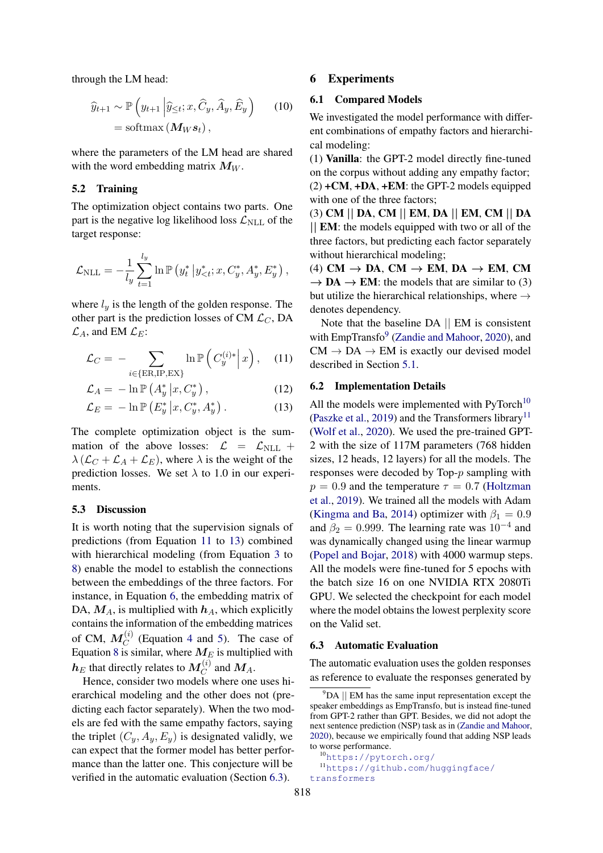through the LM head:

$$
\widehat{y}_{t+1} \sim \mathbb{P}\left(y_{t+1} \middle| \widehat{y}_{\leq t}; x, \widehat{C}_y, \widehat{A}_y, \widehat{E}_y\right) \qquad (10)
$$
\n
$$
= \text{softmax}\left(\mathbf{M}_W \mathbf{s}_t\right),
$$

where the parameters of the LM head are shared with the word embedding matrix  $M_W$ .

## <span id="page-5-7"></span>5.2 Training

The optimization object contains two parts. One part is the negative log likelihood loss  $\mathcal{L}_{\text{NLL}}$  of the target response:

$$
\mathcal{L}_{\text{NLL}} = -\frac{1}{l_y} \sum_{t=1}^{l_y} \ln \mathbb{P} \left( y_t^* \, \middle| \, y_{
$$

where  $l_y$  is the length of the golden response. The other part is the prediction losses of CM  $\mathcal{L}_C$ , DA  $\mathcal{L}_A$ , and EM  $\mathcal{L}_E$ :

$$
\mathcal{L}_C = -\sum_{i \in \{\text{ER}, \text{IP}, \text{EX}\}} \ln \mathbb{P}\left(C_y^{(i)*} \middle| x\right), \quad (11)
$$

$$
\mathcal{L}_A = -\ln \mathbb{P}\left(A_y^* \middle| x, C_y^*\right),\tag{12}
$$

$$
\mathcal{L}_E = -\ln \mathbb{P}\left(E_y^* \middle| x, C_y^*, A_y^* \right). \tag{13}
$$

The complete optimization object is the summation of the above losses:  $\mathcal{L} = \mathcal{L}_{\text{NLL}} +$  $\lambda$  ( $\mathcal{L}_C + \mathcal{L}_A + \mathcal{L}_E$ ), where  $\lambda$  is the weight of the prediction losses. We set  $\lambda$  to 1.0 in our experiments.

#### 5.3 Discussion

It is worth noting that the supervision signals of predictions (from Equation [11](#page-5-2) to [13\)](#page-5-3) combined with hierarchical modeling (from Equation [3](#page-4-4) to [8\)](#page-4-5) enable the model to establish the connections between the embeddings of the three factors. For instance, in Equation [6,](#page-4-3) the embedding matrix of DA,  $M_A$ , is multiplied with  $h_A$ , which explicitly contains the information of the embedding matrices of CM,  $M_C^{(i)}$  (Equation [4](#page-4-6) and [5\)](#page-4-7). The case of Equation [8](#page-4-5) is similar, where  $M_E$  is multiplied with  $\bm{h}_E$  that directly relates to  $\bm{M}_{C}^{(i)}$  and  $\bm{M}_{A}.$ 

Hence, consider two models where one uses hierarchical modeling and the other does not (predicting each factor separately). When the two models are fed with the same empathy factors, saying the triplet  $(C_y, A_y, E_y)$  is designated validly, we can expect that the former model has better performance than the latter one. This conjecture will be verified in the automatic evaluation (Section [6.3\)](#page-5-0).

## 6 Experiments

# <span id="page-5-1"></span>6.1 Compared Models

We investigated the model performance with different combinations of empathy factors and hierarchical modeling:

(1) Vanilla: the GPT-2 model directly fine-tuned on the corpus without adding any empathy factor;  $(2) + CM$ ,  $+DA$ ,  $+EM$ : the GPT-2 models equipped with one of the three factors;

(3) CM || DA, CM || EM, DA || EM, CM || DA || EM: the models equipped with two or all of the three factors, but predicting each factor separately without hierarchical modeling;

(4) CM  $\rightarrow$  DA, CM  $\rightarrow$  EM, DA  $\rightarrow$  EM, CM  $\rightarrow$  DA  $\rightarrow$  EM: the models that are similar to (3) but utilize the hierarchical relationships, where  $\rightarrow$ denotes dependency.

<span id="page-5-2"></span>Note that the baseline DA || EM is consistent with EmpTransfo<sup>[9](#page-5-4)</sup> [\(Zandie and Mahoor,](#page-10-4) [2020\)](#page-10-4), and  $CM \rightarrow DA \rightarrow EM$  is exactly our devised model described in Section [5.1.](#page-4-8)

#### 6.2 Implementation Details

<span id="page-5-3"></span>All the models were implemented with  $PyTorch^{10}$  $PyTorch^{10}$  $PyTorch^{10}$ [\(Paszke et al.,](#page-10-14) [2019\)](#page-10-14) and the Transformers library<sup>[11](#page-5-6)</sup> [\(Wolf et al.,](#page-10-15) [2020\)](#page-10-15). We used the pre-trained GPT-2 with the size of 117M parameters (768 hidden sizes, 12 heads, 12 layers) for all the models. The responses were decoded by Top-p sampling with  $p = 0.9$  and the temperature  $\tau = 0.7$  [\(Holtzman](#page-9-18) [et al.,](#page-9-18) [2019\)](#page-9-18). We trained all the models with Adam [\(Kingma and Ba,](#page-9-19) [2014\)](#page-9-19) optimizer with  $\beta_1 = 0.9$ and  $\beta_2 = 0.999$ . The learning rate was  $10^{-4}$  and was dynamically changed using the linear warmup [\(Popel and Bojar,](#page-10-16) [2018\)](#page-10-16) with 4000 warmup steps. All the models were fine-tuned for 5 epochs with the batch size 16 on one NVIDIA RTX 2080Ti GPU. We selected the checkpoint for each model where the model obtains the lowest perplexity score on the Valid set.

#### <span id="page-5-0"></span>6.3 Automatic Evaluation

The automatic evaluation uses the golden responses as reference to evaluate the responses generated by

<span id="page-5-4"></span> $9$ DA  $\parallel$  EM has the same input representation except the speaker embeddings as EmpTransfo, but is instead fine-tuned from GPT-2 rather than GPT. Besides, we did not adopt the next sentence prediction (NSP) task as in [\(Zandie and Mahoor,](#page-10-4) [2020\)](#page-10-4), because we empirically found that adding NSP leads to worse performance.

<span id="page-5-6"></span><span id="page-5-5"></span><sup>10</sup><https://pytorch.org/>

<sup>11</sup>[https://github.com/huggingface/](https://github.com/huggingface/transformers) [transformers](https://github.com/huggingface/transformers)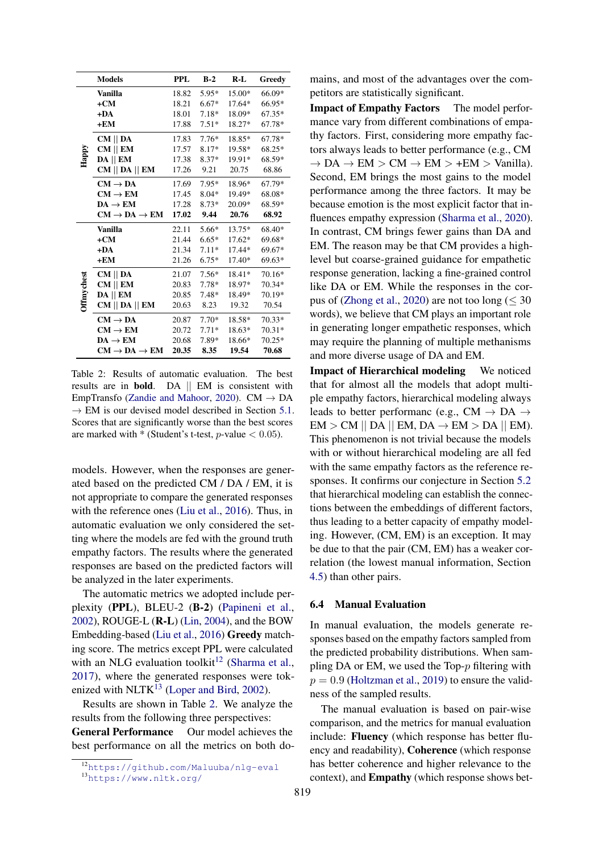<span id="page-6-3"></span>

|                   | <b>Models</b>                      | <b>PPL</b> | $B-2$   | $R-L$    | Greedy   |
|-------------------|------------------------------------|------------|---------|----------|----------|
|                   | Vanilla                            | 18.82      | $5.95*$ | 15.00*   | 66.09*   |
|                   | $+CM$                              | 18.21      | $6.67*$ | $17.64*$ | 66.95*   |
|                   | $+DA$                              | 18.01      | $7.18*$ | 18.09*   | $67.35*$ |
|                   | $+EM$                              | 17.88      | $7.51*$ | 18.27*   | 67.78*   |
|                   | $CM \parallel DA$                  | 17.83      | $7.76*$ | 18.85*   | 67.78*   |
| Happy             | $CM \parallel EM$                  | 17.57      | 8.17*   | 19.58*   | 68.25*   |
|                   | $DA \parallel EM$                  | 17.38      | $8.37*$ | 19.91*   | 68.59*   |
|                   | CM    DA    EM                     | 17.26      | 9.21    | 20.75    | 68.86    |
|                   | $CM \rightarrow DA$                | 17.69      | $7.95*$ | 18.96*   | 67.79*   |
|                   | $CM \rightarrow EM$                | 17.45      | $8.04*$ | 19.49*   | 68.08*   |
|                   | $DA \rightarrow EM$                | 17.28      | $8.73*$ | 20.09*   | 68.59*   |
|                   | $CM \rightarrow DA \rightarrow EM$ | 17.02      | 9.44    | 20.76    | 68.92    |
|                   | <b>Vanilla</b>                     | 22.11      | $5.66*$ | 13.75*   | 68.40*   |
|                   | $+CM$                              | 21.44      | $6.65*$ | $17.62*$ | 69.68*   |
|                   | $+DA$                              | 21.34      | $7.11*$ | 17.44*   | 69.67*   |
|                   | $+EM$                              | 21.26      | $6.75*$ | $17.40*$ | 69.63*   |
|                   | $CM \parallel DA$                  | 21.07      | $7.56*$ | $18.41*$ | 70.16*   |
|                   | $CM \parallel EM$                  | 20.83      | $7.78*$ | 18.97*   | 70.34*   |
| <b>Offmychest</b> | $DA$    $EM$                       | 20.85      | $7.48*$ | 18.49*   | 70.19*   |
|                   | $CM$    DA    EM                   | 20.63      | 8.23    | 19.32    | 70.54    |
|                   | $CM \rightarrow DA$                | 20.87      | $7.70*$ | 18.58*   | $70.33*$ |
|                   | $CM \rightarrow EM$                | 20.72      | $7.71*$ | 18.63*   | $70.31*$ |
|                   | $DA \rightarrow EM$                | 20.68      | $7.89*$ | 18.66*   | $70.25*$ |
|                   | $CM \rightarrow DA \rightarrow EM$ | 20.35      | 8.35    | 19.54    | 70.68    |

Table 2: Results of automatic evaluation. The best results are in bold. DA || EM is consistent with EmpTransfo [\(Zandie and Mahoor,](#page-10-4) [2020\)](#page-10-4). CM  $\rightarrow$  DA  $\rightarrow$  EM is our devised model described in Section [5.1.](#page-4-8) Scores that are significantly worse than the best scores are marked with  $*$  (Student's t-test, *p*-value  $< 0.05$ ).

models. However, when the responses are generated based on the predicted CM / DA / EM, it is not appropriate to compare the generated responses with the reference ones [\(Liu et al.,](#page-9-20) [2016\)](#page-9-20). Thus, in automatic evaluation we only considered the setting where the models are fed with the ground truth empathy factors. The results where the generated responses are based on the predicted factors will be analyzed in the later experiments.

The automatic metrics we adopted include perplexity (PPL), BLEU-2 (B-2) [\(Papineni et al.,](#page-10-17) [2002\)](#page-10-17), ROUGE-L (R-L) [\(Lin,](#page-9-21) [2004\)](#page-9-21), and the BOW Embedding-based [\(Liu et al.,](#page-9-20) [2016\)](#page-9-20) Greedy matching score. The metrics except PPL were calculated with an NLG evaluation toolkit<sup>[12](#page-6-1)</sup> [\(Sharma et al.,](#page-10-18) [2017\)](#page-10-18), where the generated responses were tokenized with  $NLTK^{13}$  $NLTK^{13}$  $NLTK^{13}$  [\(Loper and Bird,](#page-9-22) [2002\)](#page-9-22).

Results are shown in Table [2.](#page-6-3) We analyze the results from the following three perspectives: General Performance Our model achieves the best performance on all the metrics on both doImpact of Empathy Factors The model performance vary from different combinations of empathy factors. First, considering more empathy factors always leads to better performance (e.g., CM  $\rightarrow$  DA  $\rightarrow$  EM  $>$  CM  $\rightarrow$  EM  $>$  +EM  $>$  Vanilla). Second, EM brings the most gains to the model performance among the three factors. It may be because emotion is the most explicit factor that influences empathy expression [\(Sharma et al.,](#page-10-6) [2020\)](#page-10-6). In contrast, CM brings fewer gains than DA and EM. The reason may be that CM provides a highlevel but coarse-grained guidance for empathetic response generation, lacking a fine-grained control like DA or EM. While the responses in the cor-pus of [\(Zhong et al.,](#page-10-7) [2020\)](#page-10-7) are not too long ( $\leq 30$ words), we believe that CM plays an important role in generating longer empathetic responses, which may require the planning of multiple methanisms and more diverse usage of DA and EM.

Impact of Hierarchical modeling We noticed that for almost all the models that adopt multiple empathy factors, hierarchical modeling always leads to better performanc (e.g.,  $CM \rightarrow DA \rightarrow$  $EM > CM \parallel DA \parallel EM$ ,  $DA \rightarrow EM > DA \parallel EM$ . This phenomenon is not trivial because the models with or without hierarchical modeling are all fed with the same empathy factors as the reference responses. It confirms our conjecture in Section [5.2](#page-5-7) that hierarchical modeling can establish the connections between the embeddings of different factors, thus leading to a better capacity of empathy modeling. However, (CM, EM) is an exception. It may be due to that the pair (CM, EM) has a weaker correlation (the lowest manual information, Section [4.5\)](#page-3-4) than other pairs.

#### <span id="page-6-0"></span>6.4 Manual Evaluation

In manual evaluation, the models generate responses based on the empathy factors sampled from the predicted probability distributions. When sampling DA or EM, we used the Top-p filtering with  $p = 0.9$  [\(Holtzman et al.,](#page-9-18) [2019\)](#page-9-18) to ensure the validness of the sampled results.

The manual evaluation is based on pair-wise comparison, and the metrics for manual evaluation include: Fluency (which response has better fluency and readability), Coherence (which response has better coherence and higher relevance to the context), and Empathy (which response shows bet-

<span id="page-6-1"></span><sup>12</sup><https://github.com/Maluuba/nlg-eval>

<span id="page-6-2"></span><sup>13</sup><https://www.nltk.org/>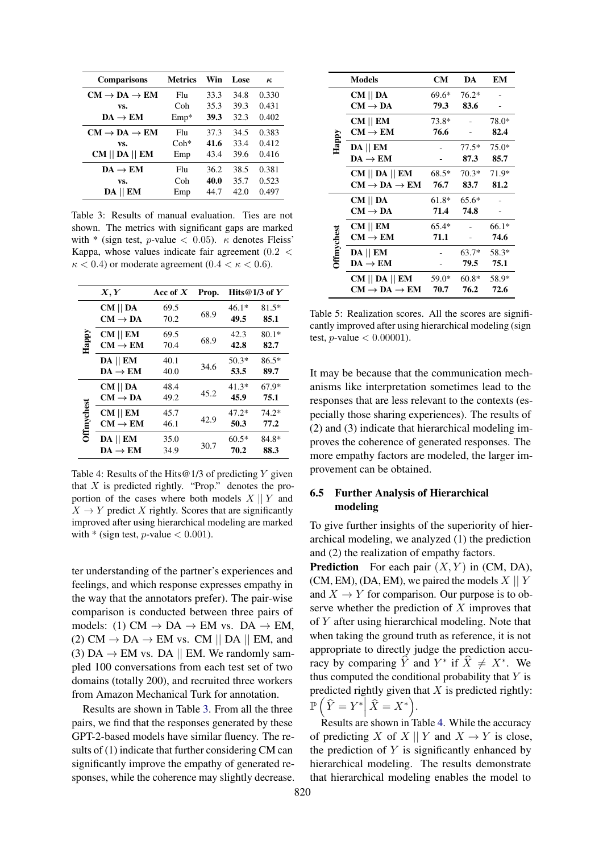<span id="page-7-1"></span>

| <b>Comparisons</b>                 | <b>Metrics</b>  | Win  | <b>Lose</b> | $\kappa$ |
|------------------------------------|-----------------|------|-------------|----------|
| $CM \rightarrow DA \rightarrow EM$ | F <sub>h1</sub> | 33.3 | 34.8        | 0.330    |
| VS.                                | Coh             | 35.3 | 39.3        | 0.431    |
| $DA \rightarrow EM$                | $Emp*$          | 39.3 | 32.3        | 0.402    |
| $CM \rightarrow DA \rightarrow EM$ | Fhi             | 37.3 | 34.5        | 0.383    |
| VS.                                | $Coh*$          | 41.6 | 33.4        | 0.412    |
| $CM$    DA    EM                   | Emp             | 43.4 | 39.6        | 0.416    |
| $DA \rightarrow EM$                | Flu             | 36.2 | 38.5        | 0.381    |
| VS.                                | Coh             | 40.0 | 35.7        | 0.523    |
| $DA$    $EM$                       | Emp             | 44.7 | 42.0        | 0.497    |

Table 3: Results of manual evaluation. Ties are not shown. The metrics with significant gaps are marked with \* (sign test, p-value  $< 0.05$ ).  $\kappa$  denotes Fleiss' Kappa, whose values indicate fair agreement (0.2 <  $\kappa$  < 0.4) or moderate agreement (0.4 <  $\kappa$  < 0.6).

<span id="page-7-2"></span>

| X, Y              |                                          | Acc of $X$   | Prop. | Hits@1/3 of $Y$ |                 |
|-------------------|------------------------------------------|--------------|-------|-----------------|-----------------|
|                   | $CM \parallel DA$<br>$CM \rightarrow DA$ | 69.5<br>70.2 | 68.9  | $46.1*$<br>49.5 | $81.5*$<br>85.1 |
| Happy             | $CM \parallel EM$<br>$CM \rightarrow EM$ | 69.5<br>70.4 | 68.9  | 42.3<br>42.8    | $80.1*$<br>82.7 |
|                   | $DA$    $EM$<br>$DA \rightarrow EM$      | 40.1<br>40.0 | 34.6  | $50.3*$<br>53.5 | $86.5*$<br>89.7 |
|                   | $CM \parallel DA$<br>$CM \rightarrow DA$ | 48.4<br>49.2 | 45.2  | $41.3*$<br>45.9 | $67.9*$<br>75.1 |
| <b>Offmychest</b> | $CM \parallel EM$<br>$CM \rightarrow EM$ | 45.7<br>46.1 | 42.9  | $47.2*$<br>50.3 | $74.2*$<br>77.2 |
|                   | $DA$    $EM$<br>$DA \rightarrow EM$      | 35.0<br>34.9 | 30.7  | $60.5*$<br>70.2 | 84.8*<br>88.3   |

Table 4: Results of the Hits  $@1/3$  of predicting Y given that  $X$  is predicted rightly. "Prop." denotes the proportion of the cases where both models  $X \parallel Y$  and  $X \rightarrow Y$  predict X rightly. Scores that are significantly improved after using hierarchical modeling are marked with  $*$  (sign test, *p*-value  $< 0.001$ ).

ter understanding of the partner's experiences and feelings, and which response expresses empathy in the way that the annotators prefer). The pair-wise comparison is conducted between three pairs of models: (1) CM  $\rightarrow$  DA  $\rightarrow$  EM vs. DA  $\rightarrow$  EM, (2) CM  $\rightarrow$  DA  $\rightarrow$  EM vs. CM || DA || EM, and (3)  $DA \rightarrow EM$  vs. DA || EM. We randomly sampled 100 conversations from each test set of two domains (totally 200), and recruited three workers from Amazon Mechanical Turk for annotation.

Results are shown in Table [3.](#page-7-1) From all the three pairs, we find that the responses generated by these GPT-2-based models have similar fluency. The results of (1) indicate that further considering CM can significantly improve the empathy of generated responses, while the coherence may slightly decrease.

<span id="page-7-3"></span>

|                   | <b>Models</b>                      | <b>CM</b> | DA      | EM      |
|-------------------|------------------------------------|-----------|---------|---------|
|                   | $CM \parallel DA$                  | 69.6*     | $76.2*$ |         |
|                   | $CM \rightarrow DA$                | 79.3      | 83.6    |         |
|                   | $CM \parallel EM$                  | 73.8*     |         | 78.0*   |
|                   | $CM \rightarrow EM$                | 76.6      |         | 82.4    |
| Happy             | $DA$    $EM$                       |           | $77.5*$ | $75.0*$ |
|                   | $DA \rightarrow EM$                |           | 87.3    | 85.7    |
|                   | $CM$    DA    EM                   | $68.5*$   | $70.3*$ | 71.9*   |
|                   | $CM \rightarrow DA \rightarrow EM$ | 76.7      | 83.7    | 81.2    |
|                   | $CM \parallel DA$                  | $61.8*$   | $65.6*$ |         |
|                   | $CM \rightarrow DA$                | 71.4      | 74.8    |         |
|                   | $CM \parallel EM$                  | $65.4*$   |         | $66.1*$ |
| <b>Offmychest</b> | $CM \rightarrow EM$                | 71.1      |         | 74.6    |
|                   | $DA$    $EM$                       |           | 63.7*   | 58.3*   |
|                   | $DA \rightarrow EM$                |           | 79.5    | 75.1    |
|                   | $CM$    DA    EM                   | 59.0*     | $60.8*$ | 58.9*   |
|                   | $CM \rightarrow DA \rightarrow EM$ | 70.7      | 76.2    | 72.6    |

Table 5: Realization scores. All the scores are significantly improved after using hierarchical modeling (sign test, *p*-value  $< 0.00001$ ).

It may be because that the communication mechanisms like interpretation sometimes lead to the responses that are less relevant to the contexts (especially those sharing experiences). The results of (2) and (3) indicate that hierarchical modeling improves the coherence of generated responses. The more empathy factors are modeled, the larger improvement can be obtained.

# <span id="page-7-0"></span>6.5 Further Analysis of Hierarchical modeling

To give further insights of the superiority of hierarchical modeling, we analyzed (1) the prediction and (2) the realization of empathy factors.

**Prediction** For each pair  $(X, Y)$  in (CM, DA), (CM, EM), (DA, EM), we paired the models  $X \parallel Y$ and  $X \to Y$  for comparison. Our purpose is to observe whether the prediction of  $X$  improves that of Y after using hierarchical modeling. Note that when taking the ground truth as reference, it is not appropriate to directly judge the prediction accuracy by comparing  $\hat{Y}$  and  $Y^*$  if  $\hat{X} \neq X^*$ . We thus computed the conditional probability that  $Y$  is predicted rightly given that  $X$  is predicted rightly:  $\mathbb{P}\left(\widehat{Y}=Y^*\right|\widehat{X}=X^*\right).$ 

Results are shown in Table [4.](#page-7-2) While the accuracy of predicting X of X || Y and  $X \to Y$  is close, the prediction of  $Y$  is significantly enhanced by hierarchical modeling. The results demonstrate that hierarchical modeling enables the model to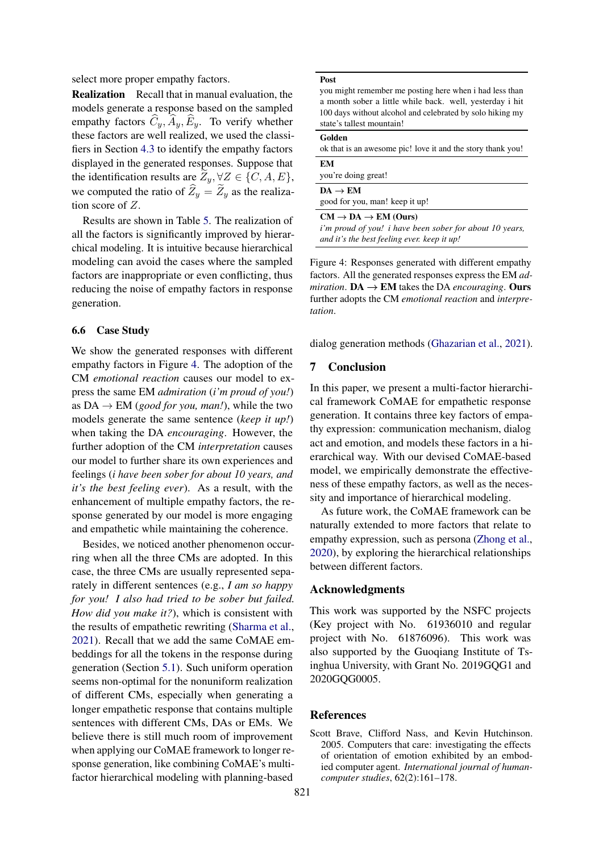select more proper empathy factors.

Realization Recall that in manual evaluation, the models generate a response based on the sampled empathy factors  $\widehat{C}_y$ ,  $\widehat{A}_y$ ,  $\widehat{E}_y$ . To verify whether these factors are well realized, we used the classifiers in Section [4.3](#page-3-5) to identify the empathy factors displayed in the generated responses. Suppose that the identification results are  $Z_y$ ,  $\forall Z \in \{C, A, E\},$ we computed the ratio of  $\hat{Z}_y = \hat{Z}_y$  as the realization score of Z.

Results are shown in Table [5.](#page-7-3) The realization of all the factors is significantly improved by hierarchical modeling. It is intuitive because hierarchical modeling can avoid the cases where the sampled factors are inappropriate or even conflicting, thus reducing the noise of empathy factors in response generation.

## 6.6 Case Study

We show the generated responses with different empathy factors in Figure [4.](#page-8-1) The adoption of the CM *emotional reaction* causes our model to express the same EM *admiration* (*i'm proud of you!*) as  $DA \rightarrow EM$  (*good for you, man!*), while the two models generate the same sentence (*keep it up!*) when taking the DA *encouraging*. However, the further adoption of the CM *interpretation* causes our model to further share its own experiences and feelings (*i have been sober for about 10 years, and it's the best feeling ever*). As a result, with the enhancement of multiple empathy factors, the response generated by our model is more engaging and empathetic while maintaining the coherence.

Besides, we noticed another phenomenon occurring when all the three CMs are adopted. In this case, the three CMs are usually represented separately in different sentences (e.g., *I am so happy for you! I also had tried to be sober but failed. How did you make it?*), which is consistent with the results of empathetic rewriting [\(Sharma et al.,](#page-10-9) [2021\)](#page-10-9). Recall that we add the same CoMAE embeddings for all the tokens in the response during generation (Section [5.1\)](#page-4-8). Such uniform operation seems non-optimal for the nonuniform realization of different CMs, especially when generating a longer empathetic response that contains multiple sentences with different CMs, DAs or EMs. We believe there is still much room of improvement when applying our CoMAE framework to longer response generation, like combining CoMAE's multifactor hierarchical modeling with planning-based

<span id="page-8-1"></span>

you might remember me posting here when i had less than a month sober a little while back. well, yesterday i hit 100 days without alcohol and celebrated by solo hiking my state's tallest mountain!

| Golden                                                      |
|-------------------------------------------------------------|
| ok that is an awesome pic! love it and the story thank you! |
| EМ                                                          |
| you're doing great!                                         |
| $DA \rightarrow EM$                                         |
| good for you, man! keep it up!                              |
| $CM \rightarrow DA \rightarrow EM (Ours)$                   |
| i'm proud of you! i have been sober for about 10 years,     |

*and it's the best feeling ever. keep it up!*

Figure 4: Responses generated with different empathy factors. All the generated responses express the EM *admiration*.  $DA \rightarrow EM$  takes the DA *encouraging*. Ours further adopts the CM *emotional reaction* and *interpretation*.

dialog generation methods [\(Ghazarian et al.,](#page-9-23) [2021\)](#page-9-23).

#### 7 Conclusion

In this paper, we present a multi-factor hierarchical framework CoMAE for empathetic response generation. It contains three key factors of empathy expression: communication mechanism, dialog act and emotion, and models these factors in a hierarchical way. With our devised CoMAE-based model, we empirically demonstrate the effectiveness of these empathy factors, as well as the necessity and importance of hierarchical modeling.

As future work, the CoMAE framework can be naturally extended to more factors that relate to empathy expression, such as persona [\(Zhong et al.,](#page-10-7) [2020\)](#page-10-7), by exploring the hierarchical relationships between different factors.

## Acknowledgments

This work was supported by the NSFC projects (Key project with No. 61936010 and regular project with No. 61876096). This work was also supported by the Guoqiang Institute of Tsinghua University, with Grant No. 2019GQG1 and 2020GQG0005.

#### References

<span id="page-8-0"></span>Scott Brave, Clifford Nass, and Kevin Hutchinson. 2005. Computers that care: investigating the effects of orientation of emotion exhibited by an embodied computer agent. *International journal of humancomputer studies*, 62(2):161–178.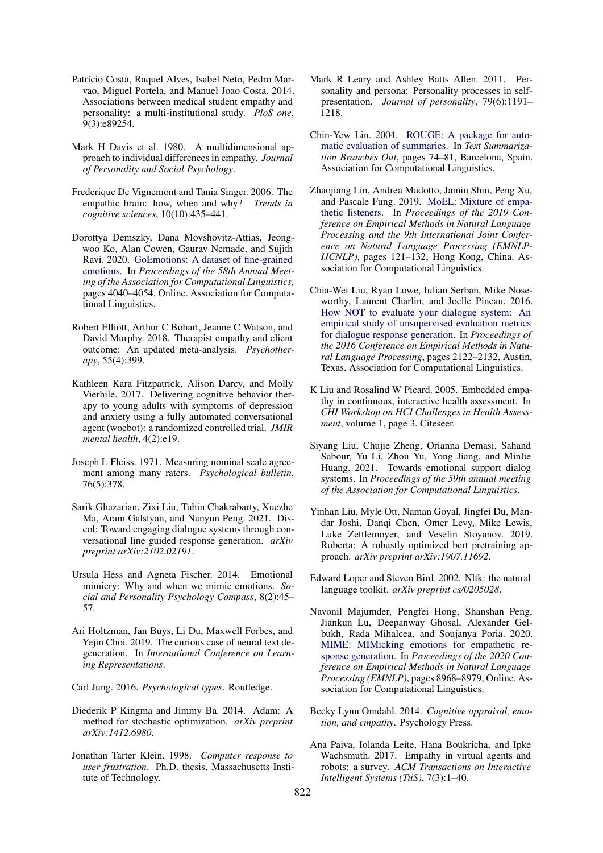- <span id="page-9-13"></span>Patrício Costa, Raquel Alves, Isabel Neto, Pedro Marvao, Miguel Portela, and Manuel Joao Costa. 2014. Associations between medical student empathy and personality: a multi-institutional study. *PloS one*, 9(3):e89254.
- <span id="page-9-6"></span>Mark H Davis et al. 1980. A multidimensional approach to individual differences in empathy. *Journal of Personality and Social Psychology*.
- <span id="page-9-10"></span>Frederique De Vignemont and Tania Singer. 2006. The empathic brain: how, when and why? *Trends in cognitive sciences*, 10(10):435–441.
- <span id="page-9-15"></span>Dorottya Demszky, Dana Movshovitz-Attias, Jeongwoo Ko, Alan Cowen, Gaurav Nemade, and Sujith Ravi. 2020. [GoEmotions: A dataset of fine-grained](https://doi.org/10.18653/v1/2020.acl-main.372) [emotions.](https://doi.org/10.18653/v1/2020.acl-main.372) In *Proceedings of the 58th Annual Meeting of the Association for Computational Linguistics*, pages 4040–4054, Online. Association for Computational Linguistics.
- <span id="page-9-9"></span>Robert Elliott, Arthur C Bohart, Jeanne C Watson, and David Murphy. 2018. Therapist empathy and client outcome: An updated meta-analysis. *Psychotherapy*, 55(4):399.
- <span id="page-9-2"></span>Kathleen Kara Fitzpatrick, Alison Darcy, and Molly Vierhile. 2017. Delivering cognitive behavior therapy to young adults with symptoms of depression and anxiety using a fully automated conversational agent (woebot): a randomized controlled trial. *JMIR mental health*, 4(2):e19.
- <span id="page-9-17"></span>Joseph L Fleiss. 1971. Measuring nominal scale agreement among many raters. *Psychological bulletin*, 76(5):378.
- <span id="page-9-23"></span>Sarik Ghazarian, Zixi Liu, Tuhin Chakrabarty, Xuezhe Ma, Aram Galstyan, and Nanyun Peng. 2021. Discol: Toward engaging dialogue systems through conversational line guided response generation. *arXiv preprint arXiv:2102.02191*.
- <span id="page-9-14"></span>Ursula Hess and Agneta Fischer. 2014. Emotional mimicry: Why and when we mimic emotions. *Social and Personality Psychology Compass*, 8(2):45– 57.
- <span id="page-9-18"></span>Ari Holtzman, Jan Buys, Li Du, Maxwell Forbes, and Yejin Choi. 2019. The curious case of neural text degeneration. In *International Conference on Learning Representations*.
- <span id="page-9-11"></span>Carl Jung. 2016. *Psychological types*. Routledge.
- <span id="page-9-19"></span>Diederik P Kingma and Jimmy Ba. 2014. Adam: A method for stochastic optimization. *arXiv preprint arXiv:1412.6980*.
- <span id="page-9-0"></span>Jonathan Tarter Klein. 1998. *Computer response to user frustration*. Ph.D. thesis, Massachusetts Institute of Technology.
- <span id="page-9-12"></span>Mark R Leary and Ashley Batts Allen. 2011. Personality and persona: Personality processes in selfpresentation. *Journal of personality*, 79(6):1191– 1218.
- <span id="page-9-21"></span>Chin-Yew Lin. 2004. [ROUGE: A package for auto](https://www.aclweb.org/anthology/W04-1013)[matic evaluation of summaries.](https://www.aclweb.org/anthology/W04-1013) In *Text Summarization Branches Out*, pages 74–81, Barcelona, Spain. Association for Computational Linguistics.
- <span id="page-9-4"></span>Zhaojiang Lin, Andrea Madotto, Jamin Shin, Peng Xu, and Pascale Fung. 2019. [MoEL: Mixture of empa](https://doi.org/10.18653/v1/D19-1012)[thetic listeners.](https://doi.org/10.18653/v1/D19-1012) In *Proceedings of the 2019 Conference on Empirical Methods in Natural Language Processing and the 9th International Joint Conference on Natural Language Processing (EMNLP-IJCNLP)*, pages 121–132, Hong Kong, China. Association for Computational Linguistics.
- <span id="page-9-20"></span>Chia-Wei Liu, Ryan Lowe, Iulian Serban, Mike Noseworthy, Laurent Charlin, and Joelle Pineau. 2016. [How NOT to evaluate your dialogue system: An](https://doi.org/10.18653/v1/D16-1230) [empirical study of unsupervised evaluation metrics](https://doi.org/10.18653/v1/D16-1230) [for dialogue response generation.](https://doi.org/10.18653/v1/D16-1230) In *Proceedings of the 2016 Conference on Empirical Methods in Natural Language Processing*, pages 2122–2132, Austin, Texas. Association for Computational Linguistics.
- <span id="page-9-1"></span>K Liu and Rosalind W Picard. 2005. Embedded empathy in continuous, interactive health assessment. In *CHI Workshop on HCI Challenges in Health Assessment*, volume 1, page 3. Citeseer.
- <span id="page-9-3"></span>Siyang Liu, Chujie Zheng, Orianna Demasi, Sahand Sabour, Yu Li, Zhou Yu, Yong Jiang, and Minlie Huang. 2021. Towards emotional support dialog systems. In *Proceedings of the 59th annual meeting of the Association for Computational Linguistics*.
- <span id="page-9-16"></span>Yinhan Liu, Myle Ott, Naman Goyal, Jingfei Du, Mandar Joshi, Danqi Chen, Omer Levy, Mike Lewis, Luke Zettlemoyer, and Veselin Stoyanov. 2019. Roberta: A robustly optimized bert pretraining approach. *arXiv preprint arXiv:1907.11692*.
- <span id="page-9-22"></span>Edward Loper and Steven Bird. 2002. Nltk: the natural language toolkit. *arXiv preprint cs/0205028*.
- <span id="page-9-5"></span>Navonil Majumder, Pengfei Hong, Shanshan Peng, Jiankun Lu, Deepanway Ghosal, Alexander Gelbukh, Rada Mihalcea, and Soujanya Poria. 2020. [MIME: MIMicking emotions for empathetic re](https://doi.org/10.18653/v1/2020.emnlp-main.721)[sponse generation.](https://doi.org/10.18653/v1/2020.emnlp-main.721) In *Proceedings of the 2020 Conference on Empirical Methods in Natural Language Processing (EMNLP)*, pages 8968–8979, Online. Association for Computational Linguistics.
- <span id="page-9-7"></span>Becky Lynn Omdahl. 2014. *Cognitive appraisal, emotion, and empathy*. Psychology Press.
- <span id="page-9-8"></span>Ana Paiva, Iolanda Leite, Hana Boukricha, and Ipke Wachsmuth. 2017. Empathy in virtual agents and robots: a survey. *ACM Transactions on Interactive Intelligent Systems (TiiS)*, 7(3):1–40.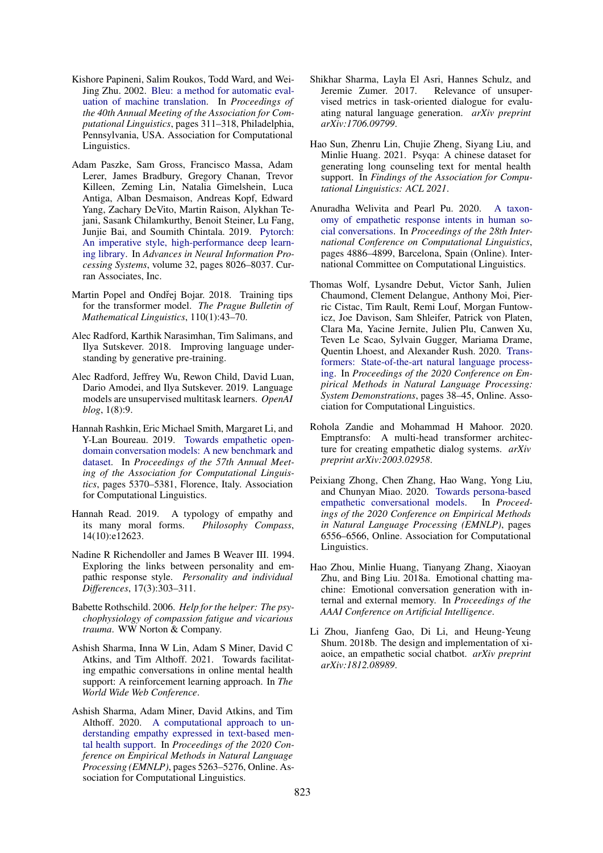- <span id="page-10-17"></span>Kishore Papineni, Salim Roukos, Todd Ward, and Wei-Jing Zhu. 2002. [Bleu: a method for automatic eval](https://doi.org/10.3115/1073083.1073135)[uation of machine translation.](https://doi.org/10.3115/1073083.1073135) In *Proceedings of the 40th Annual Meeting of the Association for Computational Linguistics*, pages 311–318, Philadelphia, Pennsylvania, USA. Association for Computational Linguistics.
- <span id="page-10-14"></span>Adam Paszke, Sam Gross, Francisco Massa, Adam Lerer, James Bradbury, Gregory Chanan, Trevor Killeen, Zeming Lin, Natalia Gimelshein, Luca Antiga, Alban Desmaison, Andreas Kopf, Edward Yang, Zachary DeVito, Martin Raison, Alykhan Tejani, Sasank Chilamkurthy, Benoit Steiner, Lu Fang, Junjie Bai, and Soumith Chintala. 2019. [Pytorch:](https://proceedings.neurips.cc/paper/2019/file/bdbca288fee7f92f2bfa9f7012727740-Paper.pdf) [An imperative style, high-performance deep learn](https://proceedings.neurips.cc/paper/2019/file/bdbca288fee7f92f2bfa9f7012727740-Paper.pdf)[ing library.](https://proceedings.neurips.cc/paper/2019/file/bdbca288fee7f92f2bfa9f7012727740-Paper.pdf) In *Advances in Neural Information Processing Systems*, volume 32, pages 8026–8037. Curran Associates, Inc.
- <span id="page-10-16"></span>Martin Popel and Ondřej Bojar. 2018. Training tips for the transformer model. *The Prague Bulletin of Mathematical Linguistics*, 110(1):43–70.
- <span id="page-10-12"></span>Alec Radford, Karthik Narasimhan, Tim Salimans, and Ilya Sutskever. 2018. Improving language understanding by generative pre-training.
- <span id="page-10-8"></span>Alec Radford, Jeffrey Wu, Rewon Child, David Luan, Dario Amodei, and Ilya Sutskever. 2019. Language models are unsupervised multitask learners. *OpenAI blog*, 1(8):9.
- <span id="page-10-3"></span>Hannah Rashkin, Eric Michael Smith, Margaret Li, and Y-Lan Boureau. 2019. [Towards empathetic open](https://doi.org/10.18653/v1/P19-1534)[domain conversation models: A new benchmark and](https://doi.org/10.18653/v1/P19-1534) [dataset.](https://doi.org/10.18653/v1/P19-1534) In *Proceedings of the 57th Annual Meeting of the Association for Computational Linguistics*, pages 5370–5381, Florence, Italy. Association for Computational Linguistics.
- <span id="page-10-1"></span>Hannah Read. 2019. A typology of empathy and its many moral forms. *Philosophy Compass*, 14(10):e12623.
- <span id="page-10-10"></span>Nadine R Richendoller and James B Weaver III. 1994. Exploring the links between personality and empathic response style. *Personality and individual Differences*, 17(3):303–311.
- <span id="page-10-0"></span>Babette Rothschild. 2006. *Help for the helper: The psychophysiology of compassion fatigue and vicarious trauma*. WW Norton & Company.
- <span id="page-10-9"></span>Ashish Sharma, Inna W Lin, Adam S Miner, David C Atkins, and Tim Althoff. 2021. Towards facilitating empathic conversations in online mental health support: A reinforcement learning approach. In *The World Wide Web Conference*.
- <span id="page-10-6"></span>Ashish Sharma, Adam Miner, David Atkins, and Tim Althoff. 2020. [A computational approach to un](https://doi.org/10.18653/v1/2020.emnlp-main.425)[derstanding empathy expressed in text-based men](https://doi.org/10.18653/v1/2020.emnlp-main.425)[tal health support.](https://doi.org/10.18653/v1/2020.emnlp-main.425) In *Proceedings of the 2020 Conference on Empirical Methods in Natural Language Processing (EMNLP)*, pages 5263–5276, Online. Association for Computational Linguistics.
- <span id="page-10-18"></span>Shikhar Sharma, Layla El Asri, Hannes Schulz, and Jeremie Zumer. 2017. Relevance of unsupervised metrics in task-oriented dialogue for evaluating natural language generation. *arXiv preprint arXiv:1706.09799*.
- <span id="page-10-11"></span>Hao Sun, Zhenru Lin, Chujie Zheng, Siyang Liu, and Minlie Huang. 2021. Psyqa: A chinese dataset for generating long counseling text for mental health support. In *Findings of the Association for Computational Linguistics: ACL 2021*.
- <span id="page-10-13"></span>Anuradha Welivita and Pearl Pu. 2020. [A taxon](https://www.aclweb.org/anthology/2020.coling-main.429)[omy of empathetic response intents in human so](https://www.aclweb.org/anthology/2020.coling-main.429)[cial conversations.](https://www.aclweb.org/anthology/2020.coling-main.429) In *Proceedings of the 28th International Conference on Computational Linguistics*, pages 4886–4899, Barcelona, Spain (Online). International Committee on Computational Linguistics.
- <span id="page-10-15"></span>Thomas Wolf, Lysandre Debut, Victor Sanh, Julien Chaumond, Clement Delangue, Anthony Moi, Pierric Cistac, Tim Rault, Remi Louf, Morgan Funtowicz, Joe Davison, Sam Shleifer, Patrick von Platen, Clara Ma, Yacine Jernite, Julien Plu, Canwen Xu, Teven Le Scao, Sylvain Gugger, Mariama Drame, Quentin Lhoest, and Alexander Rush. 2020. [Trans](https://doi.org/10.18653/v1/2020.emnlp-demos.6)[formers: State-of-the-art natural language process](https://doi.org/10.18653/v1/2020.emnlp-demos.6)[ing.](https://doi.org/10.18653/v1/2020.emnlp-demos.6) In *Proceedings of the 2020 Conference on Empirical Methods in Natural Language Processing: System Demonstrations*, pages 38–45, Online. Association for Computational Linguistics.
- <span id="page-10-4"></span>Rohola Zandie and Mohammad H Mahoor. 2020. Emptransfo: A multi-head transformer architecture for creating empathetic dialog systems. *arXiv preprint arXiv:2003.02958*.
- <span id="page-10-7"></span>Peixiang Zhong, Chen Zhang, Hao Wang, Yong Liu, and Chunyan Miao. 2020. [Towards persona-based](https://doi.org/10.18653/v1/2020.emnlp-main.531) [empathetic conversational models.](https://doi.org/10.18653/v1/2020.emnlp-main.531) In *Proceedings of the 2020 Conference on Empirical Methods in Natural Language Processing (EMNLP)*, pages 6556–6566, Online. Association for Computational Linguistics.
- <span id="page-10-5"></span>Hao Zhou, Minlie Huang, Tianyang Zhang, Xiaoyan Zhu, and Bing Liu. 2018a. Emotional chatting machine: Emotional conversation generation with internal and external memory. In *Proceedings of the AAAI Conference on Artificial Intelligence*.
- <span id="page-10-2"></span>Li Zhou, Jianfeng Gao, Di Li, and Heung-Yeung Shum. 2018b. The design and implementation of xiaoice, an empathetic social chatbot. *arXiv preprint arXiv:1812.08989*.